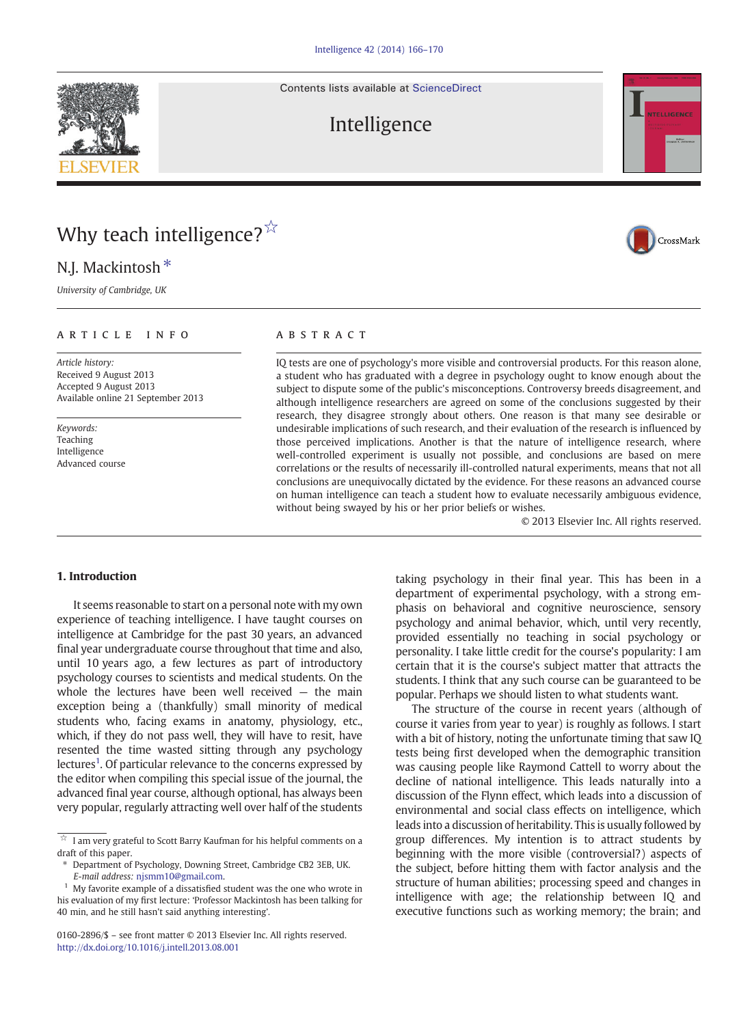Contents lists available at [ScienceDirect](http://www.sciencedirect.com/science/journal/01602896)



# Why teach intelligence?<sup>☆</sup>

### N.J. Mackintosh<sup>\*</sup>

University of Cambridge, UK

#### article info abstract

Article history: Received 9 August 2013 Accepted 9 August 2013 Available online 21 September 2013

Keywords: Teaching Intelligence Advanced course

IQ tests are one of psychology's more visible and controversial products. For this reason alone, a student who has graduated with a degree in psychology ought to know enough about the subject to dispute some of the public's misconceptions. Controversy breeds disagreement, and although intelligence researchers are agreed on some of the conclusions suggested by their research, they disagree strongly about others. One reason is that many see desirable or undesirable implications of such research, and their evaluation of the research is influenced by those perceived implications. Another is that the nature of intelligence research, where well-controlled experiment is usually not possible, and conclusions are based on mere correlations or the results of necessarily ill-controlled natural experiments, means that not all conclusions are unequivocally dictated by the evidence. For these reasons an advanced course on human intelligence can teach a student how to evaluate necessarily ambiguous evidence, without being swayed by his or her prior beliefs or wishes.

© 2013 Elsevier Inc. All rights reserved.

### 1. Introduction

It seems reasonable to start on a personal note with my own experience of teaching intelligence. I have taught courses on intelligence at Cambridge for the past 30 years, an advanced final year undergraduate course throughout that time and also, until 10 years ago, a few lectures as part of introductory psychology courses to scientists and medical students. On the whole the lectures have been well received — the main exception being a (thankfully) small minority of medical students who, facing exams in anatomy, physiology, etc., which, if they do not pass well, they will have to resit, have resented the time wasted sitting through any psychology lectures<sup>1</sup>. Of particular relevance to the concerns expressed by the editor when compiling this special issue of the journal, the advanced final year course, although optional, has always been very popular, regularly attracting well over half of the students taking psychology in their final year. This has been in a department of experimental psychology, with a strong emphasis on behavioral and cognitive neuroscience, sensory psychology and animal behavior, which, until very recently, provided essentially no teaching in social psychology or personality. I take little credit for the course's popularity: I am certain that it is the course's subject matter that attracts the students. I think that any such course can be guaranteed to be popular. Perhaps we should listen to what students want.

The structure of the course in recent years (although of course it varies from year to year) is roughly as follows. I start with a bit of history, noting the unfortunate timing that saw IQ tests being first developed when the demographic transition was causing people like Raymond Cattell to worry about the decline of national intelligence. This leads naturally into a discussion of the Flynn effect, which leads into a discussion of environmental and social class effects on intelligence, which leads into a discussion of heritability. This is usually followed by group differences. My intention is to attract students by beginning with the more visible (controversial?) aspects of the subject, before hitting them with factor analysis and the structure of human abilities; processing speed and changes in intelligence with age; the relationship between IQ and executive functions such as working memory; the brain; and







 $\overrightarrow{r}$  I am very grateful to Scott Barry Kaufman for his helpful comments on a draft of this paper.

<sup>⁎</sup> Department of Psychology, Downing Street, Cambridge CB2 3EB, UK. E-mail address: [njsmm10@gmail.com](mailto:njsmm10@gmail.com).

<sup>1</sup> My favorite example of a dissatisfied student was the one who wrote in his evaluation of my first lecture: 'Professor Mackintosh has been talking for 40 min, and he still hasn't said anything interesting'.

<sup>0160-2896/\$</sup> – see front matter © 2013 Elsevier Inc. All rights reserved. <http://dx.doi.org/10.1016/j.intell.2013.08.001>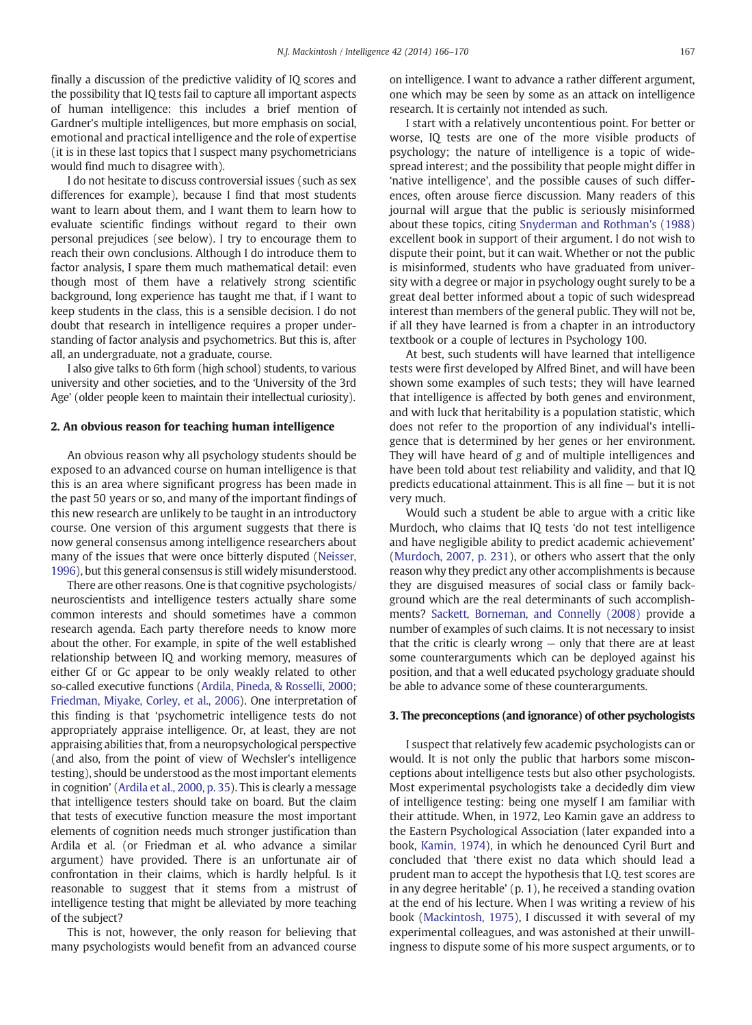finally a discussion of the predictive validity of IQ scores and the possibility that IQ tests fail to capture all important aspects of human intelligence: this includes a brief mention of Gardner's multiple intelligences, but more emphasis on social, emotional and practical intelligence and the role of expertise (it is in these last topics that I suspect many psychometricians would find much to disagree with).

I do not hesitate to discuss controversial issues (such as sex differences for example), because I find that most students want to learn about them, and I want them to learn how to evaluate scientific findings without regard to their own personal prejudices (see below). I try to encourage them to reach their own conclusions. Although I do introduce them to factor analysis, I spare them much mathematical detail: even though most of them have a relatively strong scientific background, long experience has taught me that, if I want to keep students in the class, this is a sensible decision. I do not doubt that research in intelligence requires a proper understanding of factor analysis and psychometrics. But this is, after all, an undergraduate, not a graduate, course.

I also give talks to 6th form (high school) students, to various university and other societies, and to the 'University of the 3rd Age' (older people keen to maintain their intellectual curiosity).

#### 2. An obvious reason for teaching human intelligence

An obvious reason why all psychology students should be exposed to an advanced course on human intelligence is that this is an area where significant progress has been made in the past 50 years or so, and many of the important findings of this new research are unlikely to be taught in an introductory course. One version of this argument suggests that there is now general consensus among intelligence researchers about many of the issues that were once bitterly disputed [\(Neisser,](#page--1-0) [1996\)](#page--1-0), but this general consensus is still widely misunderstood.

There are other reasons. One is that cognitive psychologists/ neuroscientists and intelligence testers actually share some common interests and should sometimes have a common research agenda. Each party therefore needs to know more about the other. For example, in spite of the well established relationship between IQ and working memory, measures of either Gf or Gc appear to be only weakly related to other so-called executive functions ([Ardila, Pineda, & Rosselli, 2000;](#page--1-0) [Friedman, Miyake, Corley, et al., 2006](#page--1-0)). One interpretation of this finding is that 'psychometric intelligence tests do not appropriately appraise intelligence. Or, at least, they are not appraising abilities that, from a neuropsychological perspective (and also, from the point of view of Wechsler's intelligence testing), should be understood as the most important elements in cognition' ([Ardila et al., 2000, p. 35\)](#page--1-0). This is clearly a message that intelligence testers should take on board. But the claim that tests of executive function measure the most important elements of cognition needs much stronger justification than Ardila et al. (or Friedman et al. who advance a similar argument) have provided. There is an unfortunate air of confrontation in their claims, which is hardly helpful. Is it reasonable to suggest that it stems from a mistrust of intelligence testing that might be alleviated by more teaching of the subject?

This is not, however, the only reason for believing that many psychologists would benefit from an advanced course on intelligence. I want to advance a rather different argument, one which may be seen by some as an attack on intelligence research. It is certainly not intended as such.

I start with a relatively uncontentious point. For better or worse, IQ tests are one of the more visible products of psychology; the nature of intelligence is a topic of widespread interest; and the possibility that people might differ in 'native intelligence', and the possible causes of such differences, often arouse fierce discussion. Many readers of this journal will argue that the public is seriously misinformed about these topics, citing [Snyderman and Rothman's \(1988\)](#page--1-0) excellent book in support of their argument. I do not wish to dispute their point, but it can wait. Whether or not the public is misinformed, students who have graduated from university with a degree or major in psychology ought surely to be a great deal better informed about a topic of such widespread interest than members of the general public. They will not be, if all they have learned is from a chapter in an introductory textbook or a couple of lectures in Psychology 100.

At best, such students will have learned that intelligence tests were first developed by Alfred Binet, and will have been shown some examples of such tests; they will have learned that intelligence is affected by both genes and environment, and with luck that heritability is a population statistic, which does not refer to the proportion of any individual's intelligence that is determined by her genes or her environment. They will have heard of g and of multiple intelligences and have been told about test reliability and validity, and that IQ predicts educational attainment. This is all fine — but it is not very much.

Would such a student be able to argue with a critic like Murdoch, who claims that IQ tests 'do not test intelligence and have negligible ability to predict academic achievement' ([Murdoch, 2007, p. 231\)](#page--1-0), or others who assert that the only reason why they predict any other accomplishments is because they are disguised measures of social class or family background which are the real determinants of such accomplishments? [Sackett, Borneman, and Connelly \(2008\)](#page--1-0) provide a number of examples of such claims. It is not necessary to insist that the critic is clearly wrong — only that there are at least some counterarguments which can be deployed against his position, and that a well educated psychology graduate should be able to advance some of these counterarguments.

#### 3. The preconceptions (and ignorance) of other psychologists

I suspect that relatively few academic psychologists can or would. It is not only the public that harbors some misconceptions about intelligence tests but also other psychologists. Most experimental psychologists take a decidedly dim view of intelligence testing: being one myself I am familiar with their attitude. When, in 1972, Leo Kamin gave an address to the Eastern Psychological Association (later expanded into a book, [Kamin, 1974](#page--1-0)), in which he denounced Cyril Burt and concluded that 'there exist no data which should lead a prudent man to accept the hypothesis that I.Q. test scores are in any degree heritable' (p. 1), he received a standing ovation at the end of his lecture. When I was writing a review of his book ([Mackintosh, 1975](#page--1-0)), I discussed it with several of my experimental colleagues, and was astonished at their unwillingness to dispute some of his more suspect arguments, or to